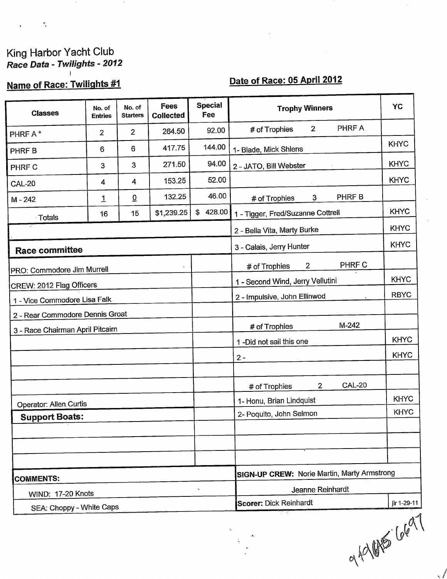# King Harbor Yacht Club<br>Race Data - Twilights - 2012

 $\tilde{\Sigma}$ 

# Name of Race: Twilights #1

# Date of Race: 05 April 2012

| <b>Classes</b>                                                      | No. of<br><b>Entries</b> | No. of<br><b>Starters</b> | Fees<br>Collected | <b>Special</b><br>Fee | <b>Trophy Winners</b>                              | <b>YC</b>   |
|---------------------------------------------------------------------|--------------------------|---------------------------|-------------------|-----------------------|----------------------------------------------------|-------------|
| PHRF A*                                                             | $\overline{2}$           | $\overline{2}$            | 264.50            | 92.00                 | PHRF A<br># of Trophies<br>$\overline{2}$          |             |
| PHRF B                                                              | 6                        | 6                         | 417.75            | 144.00                | 1- Blade, Mick Shlens                              | <b>KHYC</b> |
| PHRF C                                                              | 3                        | 3                         | 271.50            | 94.00                 | 2 - JATO, Bill Webster                             | <b>KHYC</b> |
| <b>CAL-20</b>                                                       | 4                        | 4                         | 153.25            | 52.00                 |                                                    | <b>KHYC</b> |
| $M - 242$                                                           | 1                        | $\underline{0}$           | 132.25            | 46.00                 | PHRF B<br>$3 -$<br># of Trophies                   |             |
| Totals                                                              | 16                       | 15                        | \$1,239.25        | \$428.00              | 1 - Tigger, Fred/Suzanne Cottrell                  | <b>KHYC</b> |
|                                                                     |                          |                           |                   |                       | 2 - Bella Vita, Marty Burke                        | <b>KHYC</b> |
| <b>Race committee</b>                                               |                          |                           |                   |                       | 3 - Calais, Jerry Hunter                           | <b>KHYC</b> |
|                                                                     |                          |                           |                   |                       | <b>PHRF C</b><br>$\mathbf{2}$<br># of Trophies     |             |
| PRO: Commodore Jim Murrell                                          |                          |                           |                   |                       | 1 - Second Wind, Jerry Vellutini                   | <b>KHYC</b> |
| CREW: 2012 Flag Officers<br>1 - Vice Commodore Lisa Falk            |                          |                           |                   |                       | 2 - Impulsive, John Ellinwod                       | <b>RBYC</b> |
|                                                                     |                          |                           |                   |                       |                                                    |             |
| 2 - Rear Commodore Dennis Groat<br>3 - Race Chairman April Pitcairn |                          |                           |                   |                       | $M-242$<br># of Trophies                           |             |
|                                                                     |                          |                           |                   |                       | 1-Did not sail this one                            | <b>KHYC</b> |
|                                                                     |                          |                           |                   |                       | $2 -$                                              | <b>KHYC</b> |
|                                                                     |                          |                           |                   |                       |                                                    |             |
|                                                                     |                          |                           |                   |                       | <b>CAL-20</b><br>$\overline{2}$<br># of Trophies   |             |
| Operator: Allen Curtis                                              |                          |                           |                   |                       | 1- Honu, Brian Lindquist                           | <b>KHYC</b> |
| <b>Support Boats:</b>                                               |                          |                           |                   |                       | 2- Poquito, John Selmon                            | <b>KHYC</b> |
|                                                                     |                          |                           |                   |                       |                                                    |             |
|                                                                     |                          |                           |                   |                       |                                                    |             |
|                                                                     |                          |                           |                   |                       |                                                    |             |
| <b>COMMENTS:</b>                                                    |                          |                           |                   |                       | <b>SIGN-UP CREW: Norie Martin, Marty Armstrong</b> |             |
| WIND: 17-20 Knots                                                   |                          |                           |                   | $\star$               | Jeanne Reinhardt                                   |             |
| SEA: Choppy - White Caps                                            |                          |                           |                   |                       | <b>Scorer: Dick Reinhardt</b>                      | jlr 1-29-11 |

of 401 15 6697